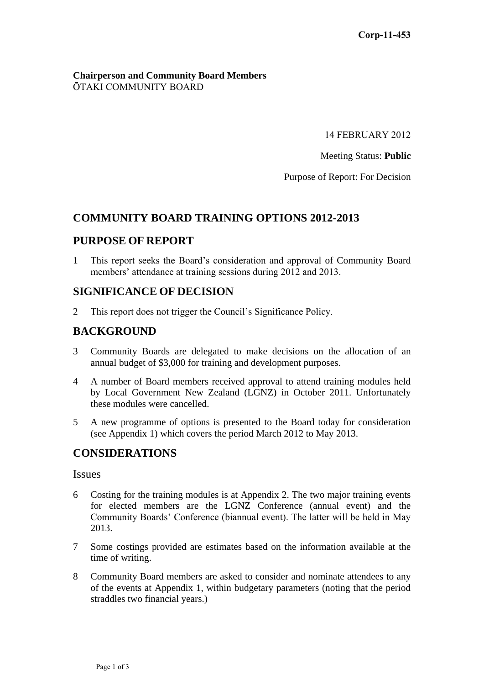### **Chairperson and Community Board Members** ŌTAKI COMMUNITY BOARD

14 FEBRUARY 2012

Meeting Status: **Public**

Purpose of Report: For Decision

# **COMMUNITY BOARD TRAINING OPTIONS 2012-2013**

# **PURPOSE OF REPORT**

1 This report seeks the Board's consideration and approval of Community Board members' attendance at training sessions during 2012 and 2013.

## **SIGNIFICANCE OF DECISION**

2 This report does not trigger the Council's Significance Policy.

## **BACKGROUND**

- 3 Community Boards are delegated to make decisions on the allocation of an annual budget of \$3,000 for training and development purposes.
- 4 A number of Board members received approval to attend training modules held by Local Government New Zealand (LGNZ) in October 2011. Unfortunately these modules were cancelled.
- 5 A new programme of options is presented to the Board today for consideration (see Appendix 1) which covers the period March 2012 to May 2013.

## **CONSIDERATIONS**

#### Issues

- 6 Costing for the training modules is at Appendix 2. The two major training events for elected members are the LGNZ Conference (annual event) and the Community Boards' Conference (biannual event). The latter will be held in May 2013.
- 7 Some costings provided are estimates based on the information available at the time of writing.
- 8 Community Board members are asked to consider and nominate attendees to any of the events at Appendix 1, within budgetary parameters (noting that the period straddles two financial years.)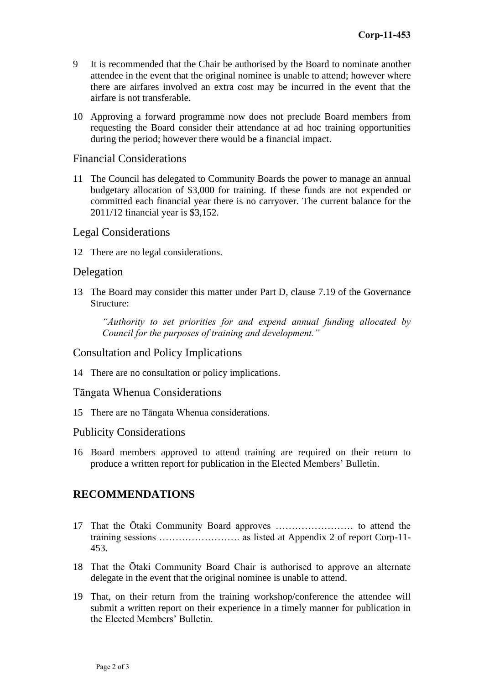- 9 It is recommended that the Chair be authorised by the Board to nominate another attendee in the event that the original nominee is unable to attend; however where there are airfares involved an extra cost may be incurred in the event that the airfare is not transferable.
- 10 Approving a forward programme now does not preclude Board members from requesting the Board consider their attendance at ad hoc training opportunities during the period; however there would be a financial impact.

### Financial Considerations

11 The Council has delegated to Community Boards the power to manage an annual budgetary allocation of \$3,000 for training. If these funds are not expended or committed each financial year there is no carryover. The current balance for the 2011/12 financial year is \$3,152.

#### Legal Considerations

12 There are no legal considerations.

### Delegation

13 The Board may consider this matter under Part D, clause 7.19 of the Governance Structure:

*"Authority to set priorities for and expend annual funding allocated by Council for the purposes of training and development."*

#### Consultation and Policy Implications

14 There are no consultation or policy implications.

Tāngata Whenua Considerations

15 There are no Tāngata Whenua considerations.

#### Publicity Considerations

16 Board members approved to attend training are required on their return to produce a written report for publication in the Elected Members' Bulletin.

## **RECOMMENDATIONS**

- 17 That the Ōtaki Community Board approves …………………… to attend the training sessions ……………………. as listed at Appendix 2 of report Corp-11- 453.
- 18 That the Ōtaki Community Board Chair is authorised to approve an alternate delegate in the event that the original nominee is unable to attend.
- 19 That, on their return from the training workshop/conference the attendee will submit a written report on their experience in a timely manner for publication in the Elected Members' Bulletin.